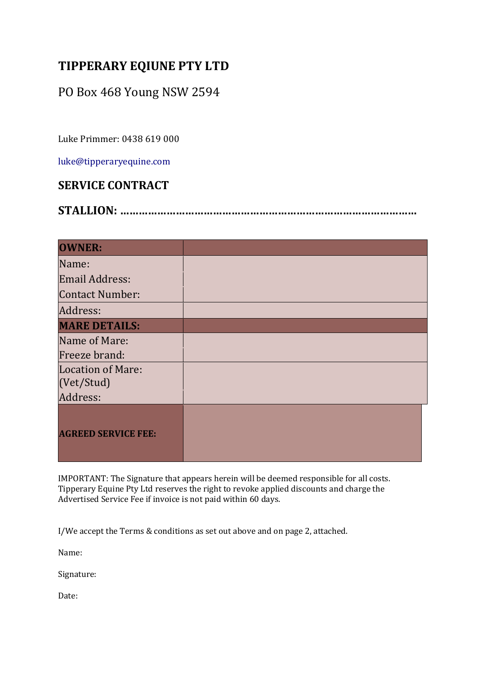## **TIPPERARY EQIUNE PTY LTD**

## PO Box 468 Young NSW 2594

Luke Primmer: 0438 619 000 

luke@tipperaryequine.com 

## **SERVICE CONTRACT**

|--|

| <b>OWNER:</b>              |  |
|----------------------------|--|
| Name:                      |  |
| <b>Email Address:</b>      |  |
| <b>Contact Number:</b>     |  |
| Address:                   |  |
| <b>MARE DETAILS:</b>       |  |
| Name of Mare:              |  |
| Freeze brand:              |  |
| <b>Location of Mare:</b>   |  |
| (Vet/Stud)                 |  |
| Address:                   |  |
| <b>AGREED SERVICE FEE:</b> |  |

IMPORTANT: The Signature that appears herein will be deemed responsible for all costs. Tipperary Equine Pty Ltd reserves the right to revoke applied discounts and charge the Advertised Service Fee if invoice is not paid within 60 days.

I/We accept the Terms & conditions as set out above and on page 2, attached.

Name: 

Signature: 

Date: